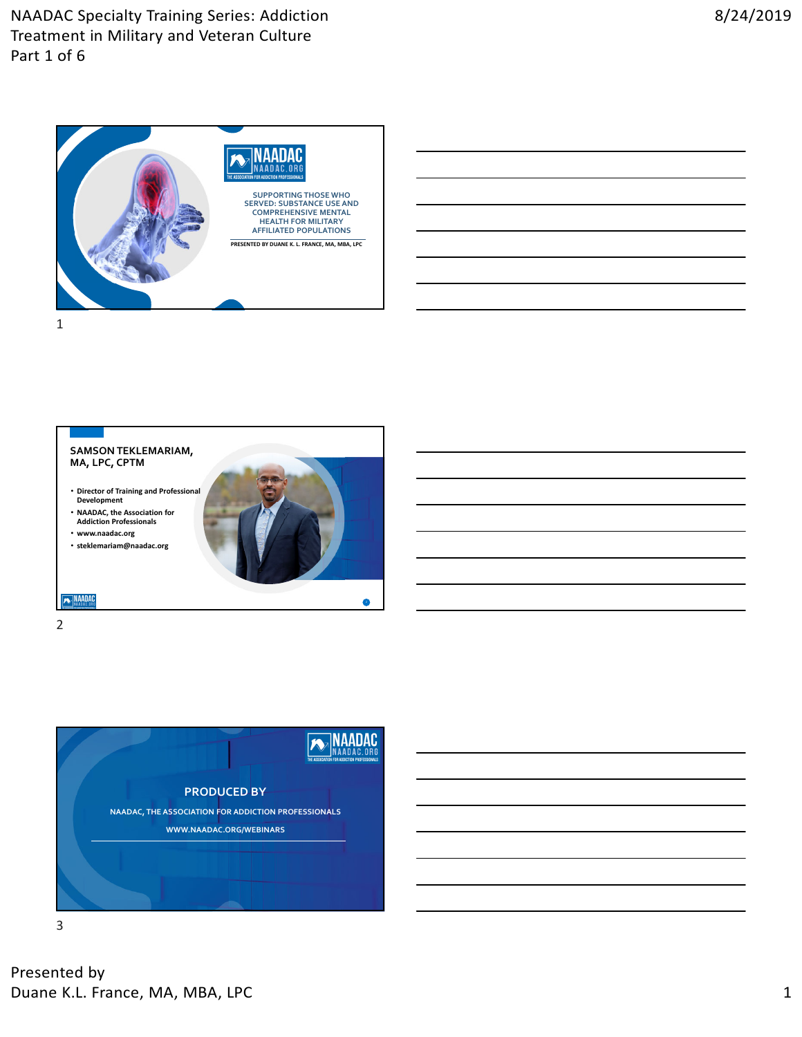



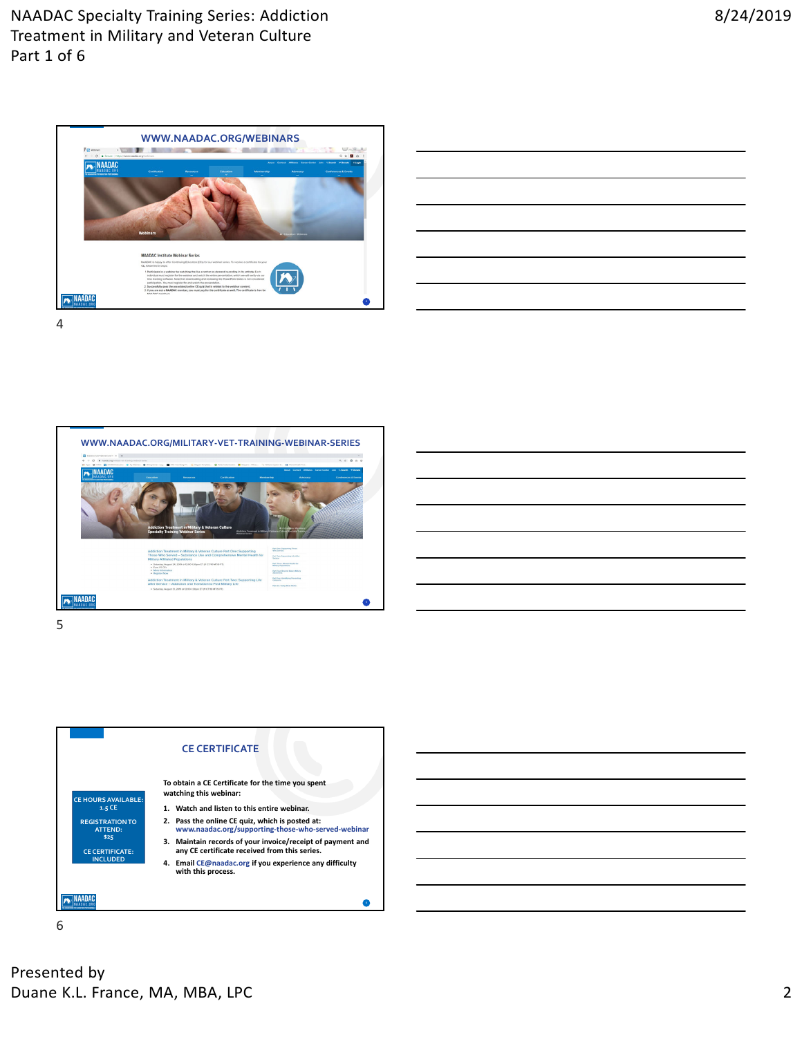

| ,一个人的人都是一个人的人,但是,我们的人都是不是一个人的人,我们的人都是不是一个人的人,我们的人都是不是一个人的人,我们的人都是不是一个人的人,我们的人都是不 |  |  |  |
|----------------------------------------------------------------------------------|--|--|--|
|                                                                                  |  |  |  |
| <u> 1989 - Johann Stoff, amerikansk politiker (d. 1989)</u>                      |  |  |  |
|                                                                                  |  |  |  |
|                                                                                  |  |  |  |
|                                                                                  |  |  |  |

4





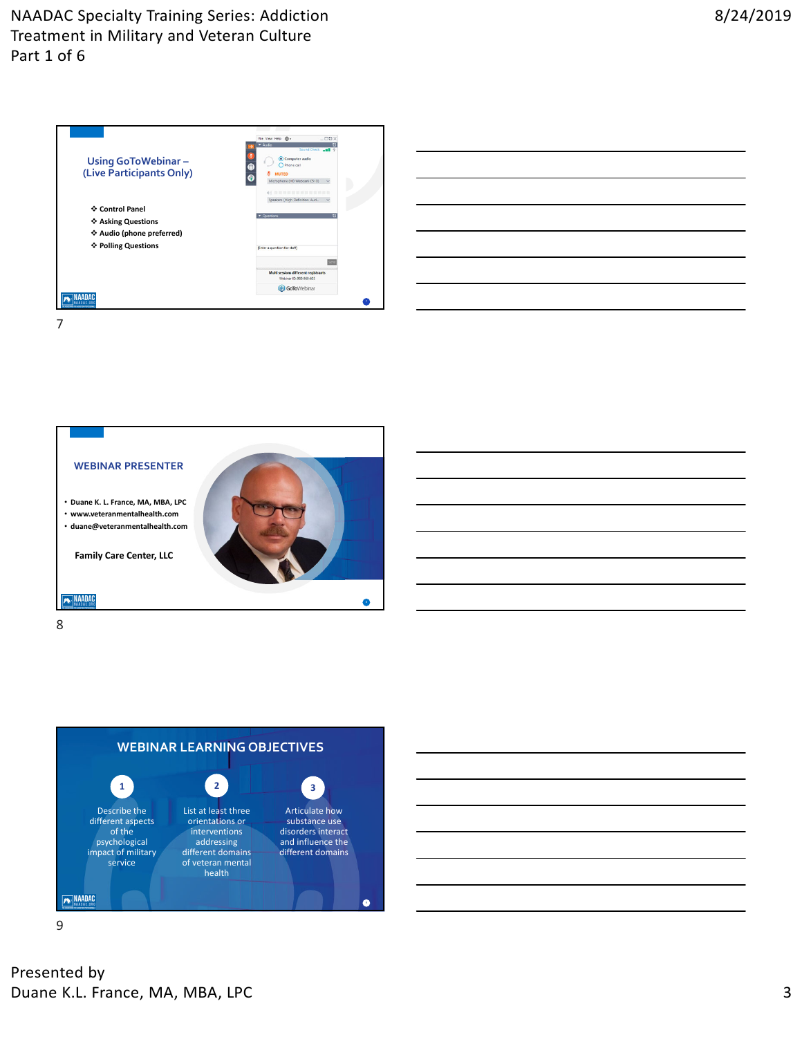| <b>Using GoToWebinar-</b><br>(Live Participants Only)                                     | File View Help <sup></sup><br>$-\Box$<br>$-$ Audio<br>Sound Check<br>Computer audio<br>O Phone call<br><b>MUTED</b><br>Microphone (HD Webcam C510)<br>$\checkmark$<br>40 22 23 24 25 26 27 28 29 29 20 21 22 23 24<br>Speakers (High Definition Aud<br>$\checkmark$ |
|-------------------------------------------------------------------------------------------|---------------------------------------------------------------------------------------------------------------------------------------------------------------------------------------------------------------------------------------------------------------------|
| ❖ Control Panel<br>❖ Asking Questions<br>❖ Audio (phone preferred)<br>❖ Polling Questions | <b>v</b> Questions<br>n                                                                                                                                                                                                                                             |
|                                                                                           | (Enter a question for staff)<br>Multi sessions different registrants<br>Webinar ID: 980-960-603<br><b>GoTo</b> Webinar                                                                                                                                              |
|                                                                                           |                                                                                                                                                                                                                                                                     |

| the control of the control of the control of the control of the control of the control of the control of the control of the control of the control of the control of the control of the control of the control of the control |  |  |
|-------------------------------------------------------------------------------------------------------------------------------------------------------------------------------------------------------------------------------|--|--|
|                                                                                                                                                                                                                               |  |  |
|                                                                                                                                                                                                                               |  |  |
|                                                                                                                                                                                                                               |  |  |
|                                                                                                                                                                                                                               |  |  |
|                                                                                                                                                                                                                               |  |  |
|                                                                                                                                                                                                                               |  |  |
|                                                                                                                                                                                                                               |  |  |
| <u> 1989 - Andrea Andrew Maria (h. 1989).</u>                                                                                                                                                                                 |  |  |
|                                                                                                                                                                                                                               |  |  |
|                                                                                                                                                                                                                               |  |  |
|                                                                                                                                                                                                                               |  |  |
|                                                                                                                                                                                                                               |  |  |





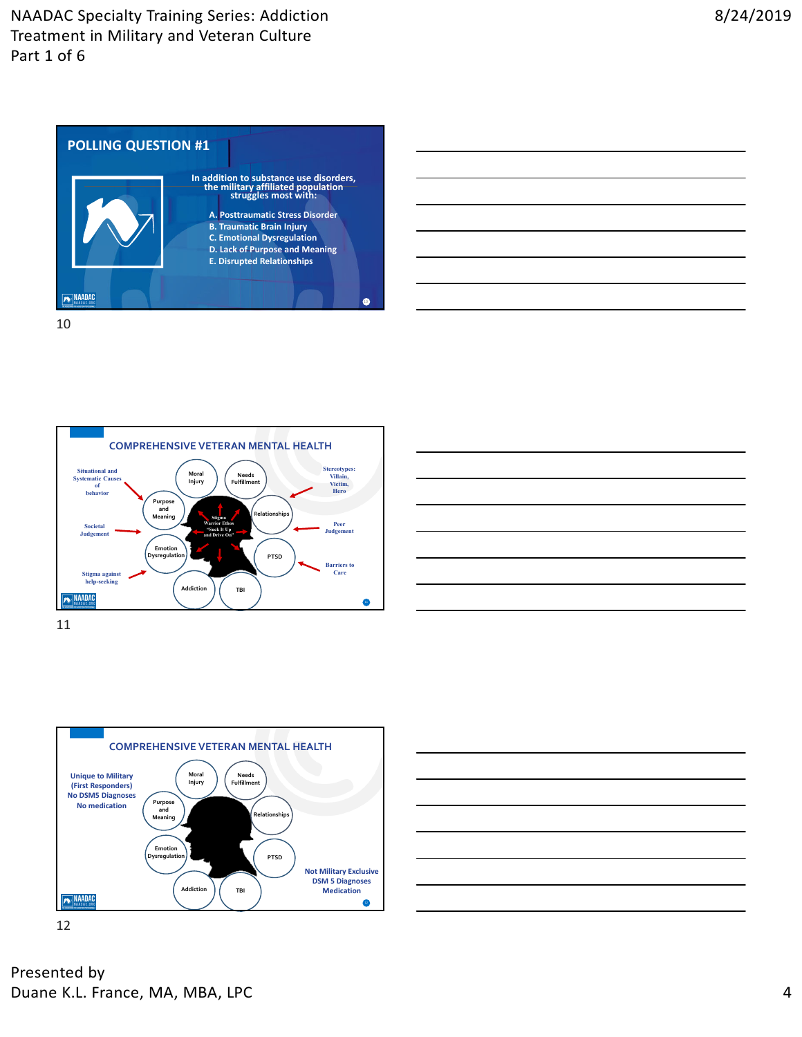







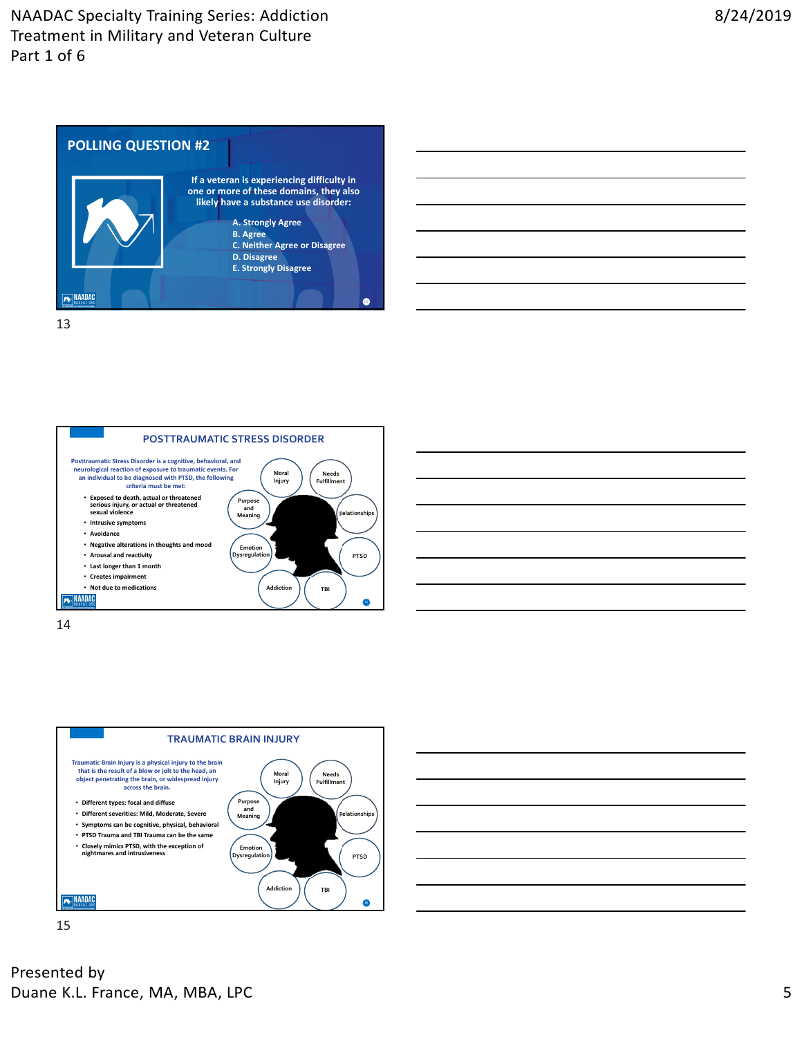









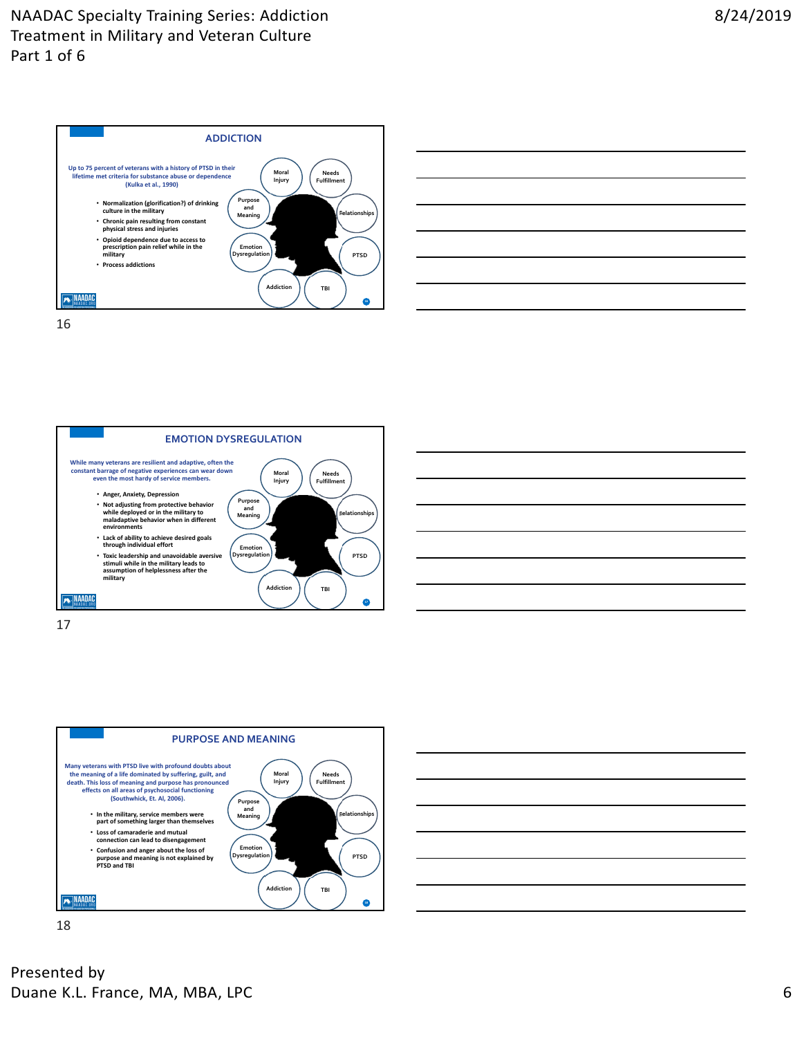











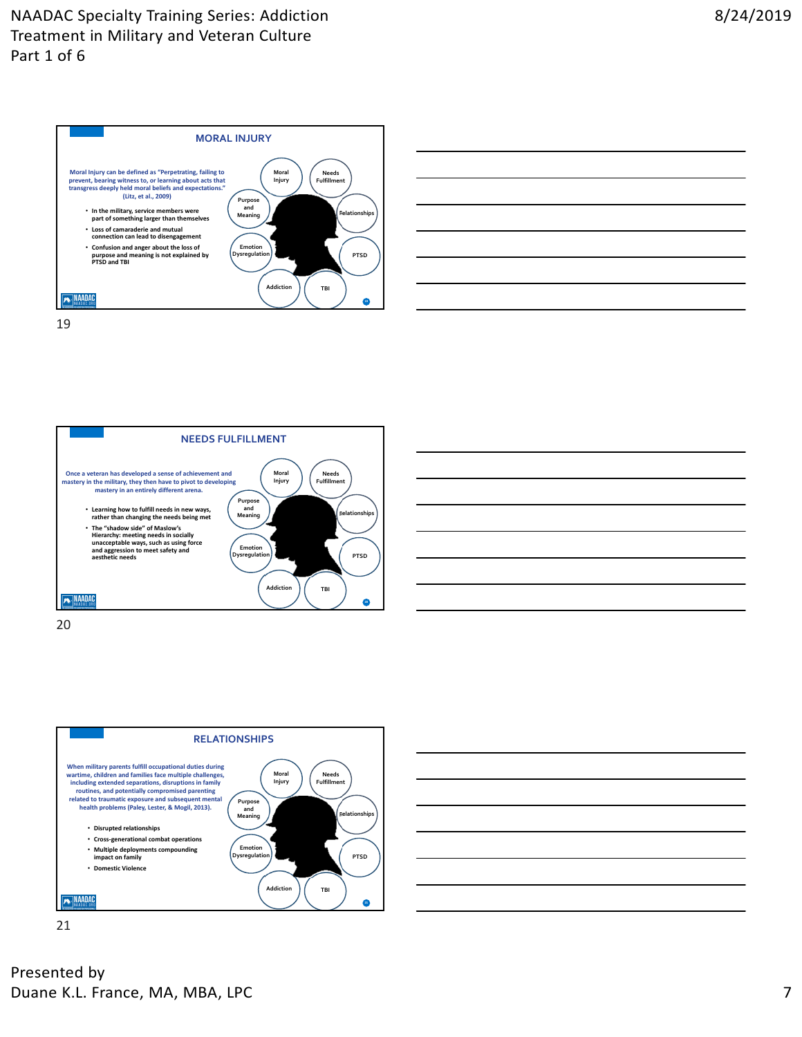





20





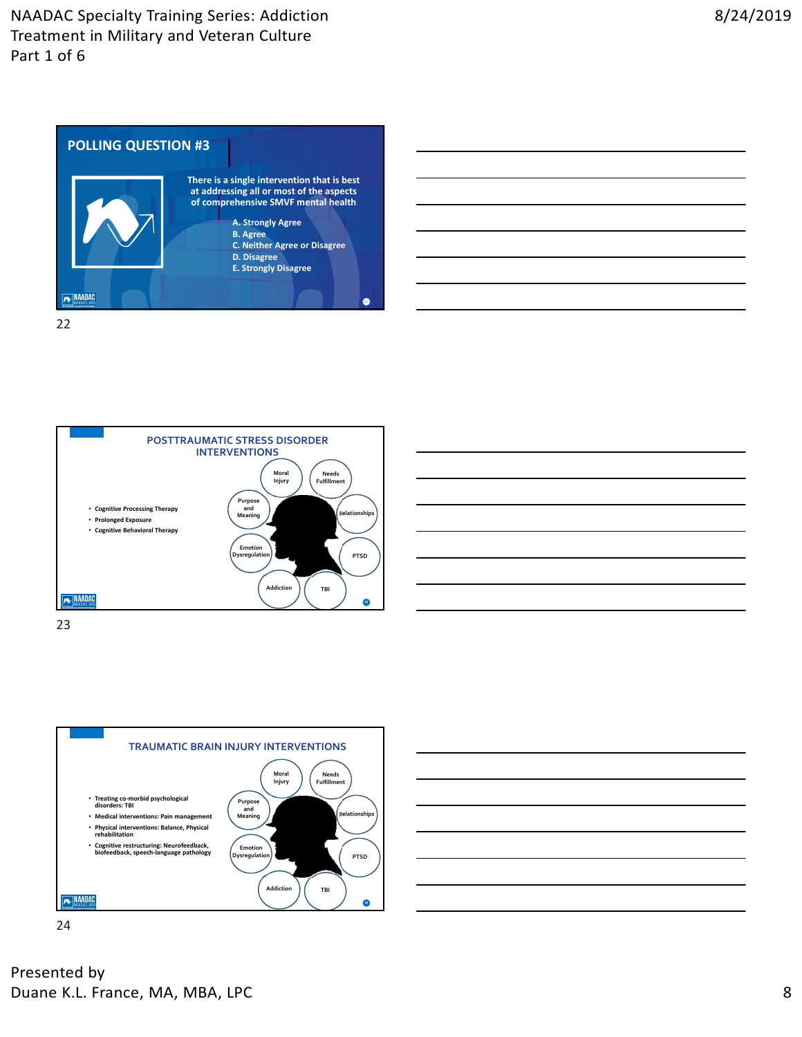







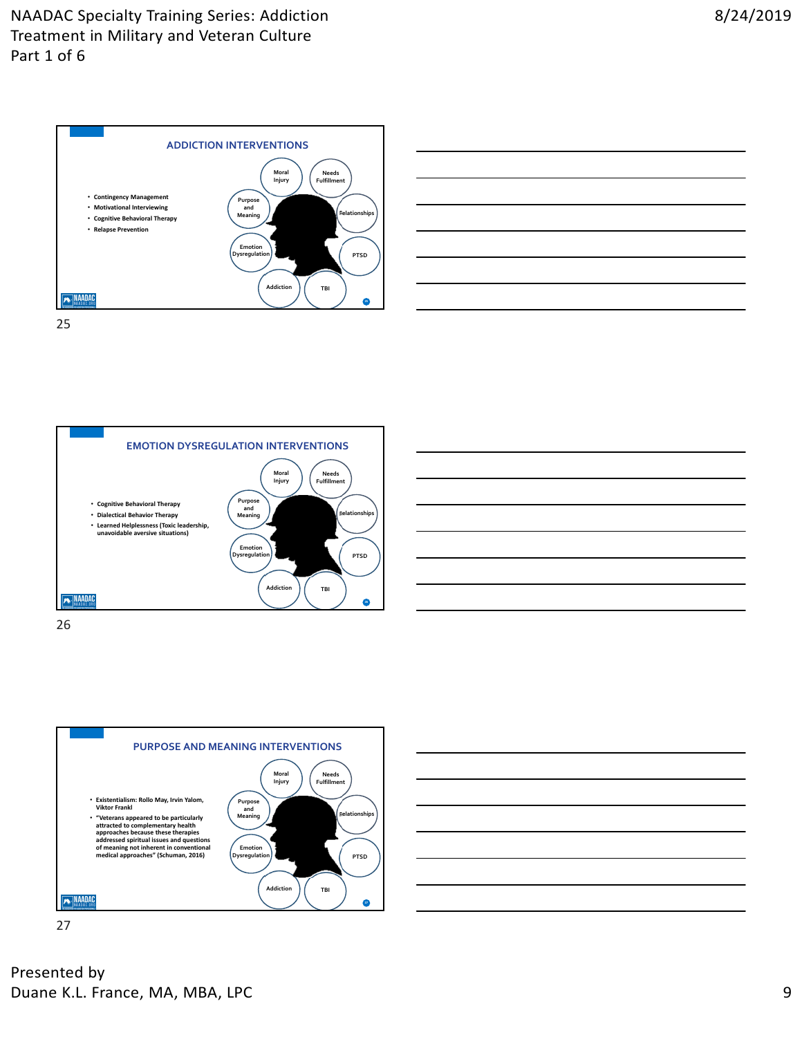



**EMOTION DYSREGULATION INTERVENTIONS Moral Needs Fulfillment Injury** • **Cognitive Behavioral Therapy Purpose and Meaning** • **Dialectical Behavior Therapy Relationships** • **Learned Helplessness (Toxic leadership, unavoidable aversive situations) Emotion Dysregulation PTSD Addiction TBI MAADAC**  $\bullet$ 







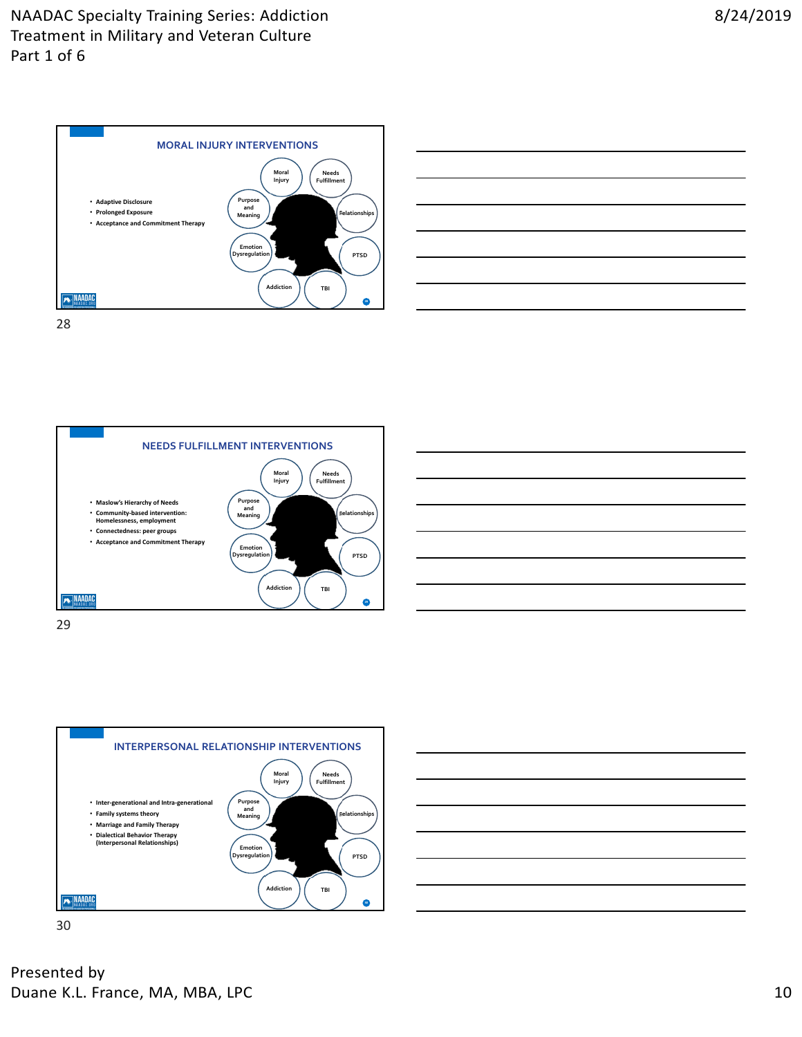









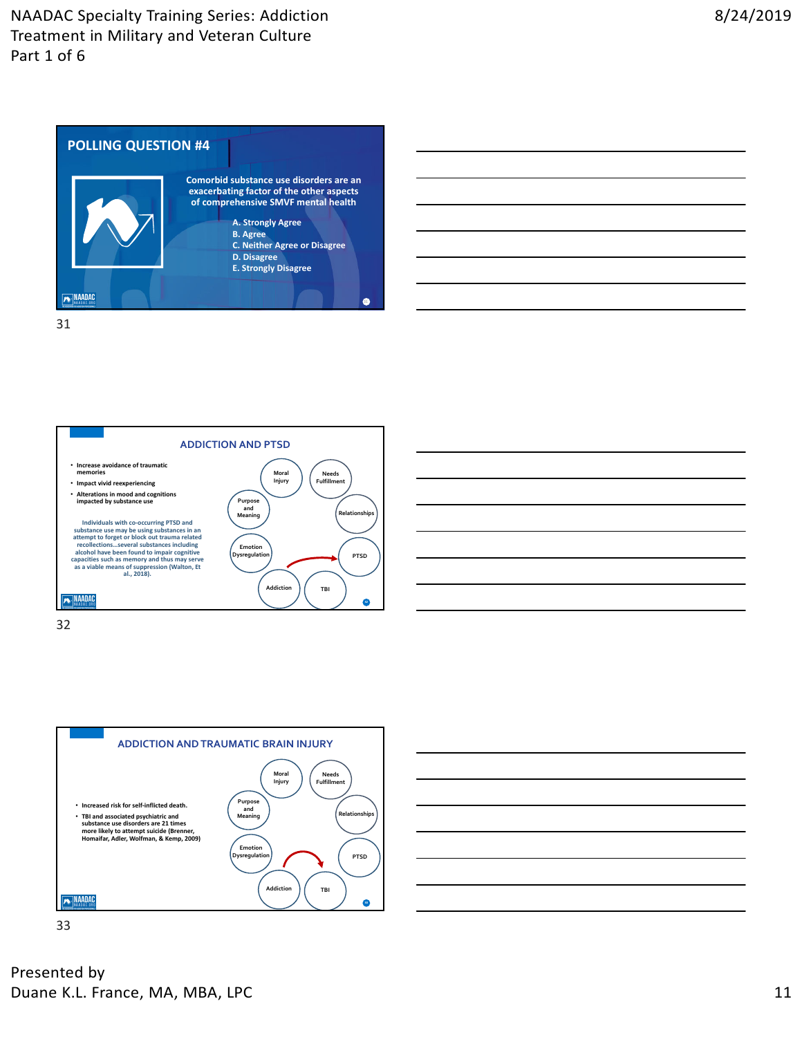







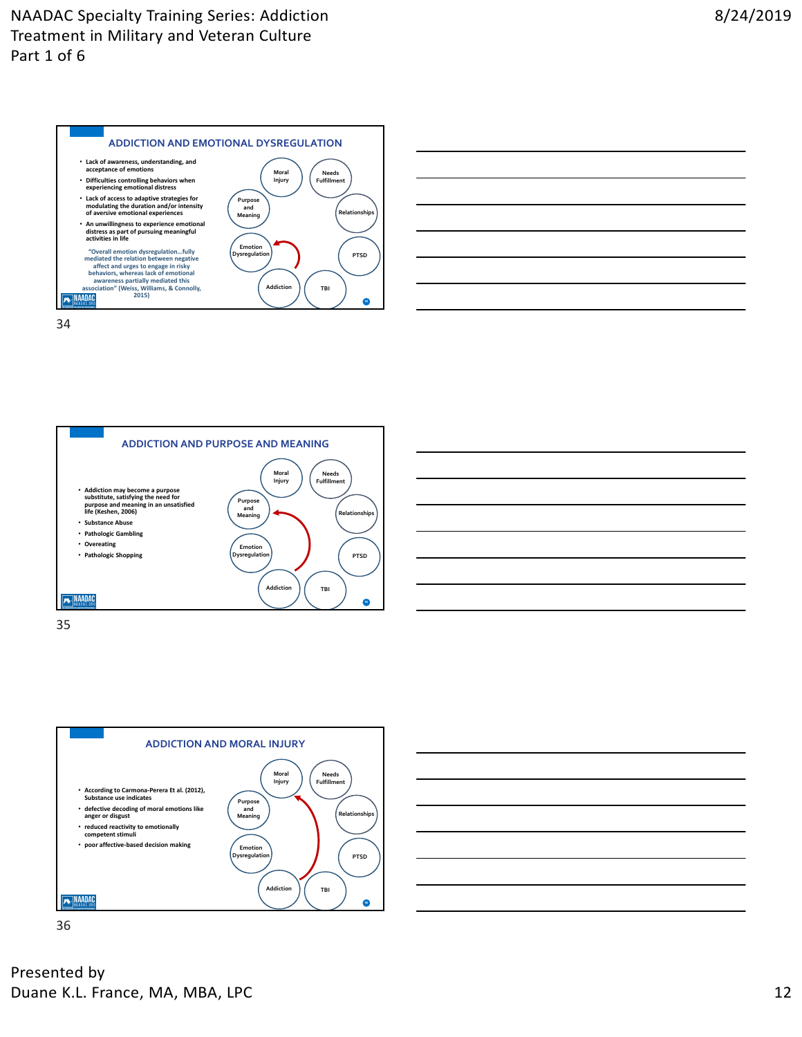







35



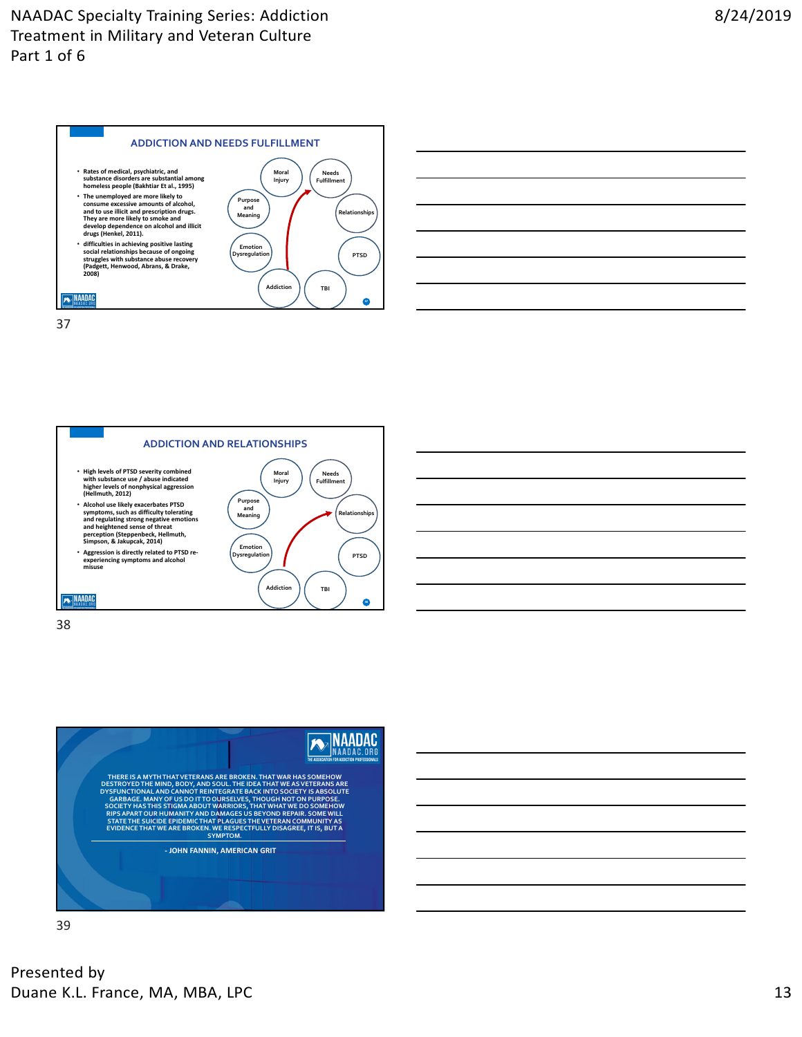









39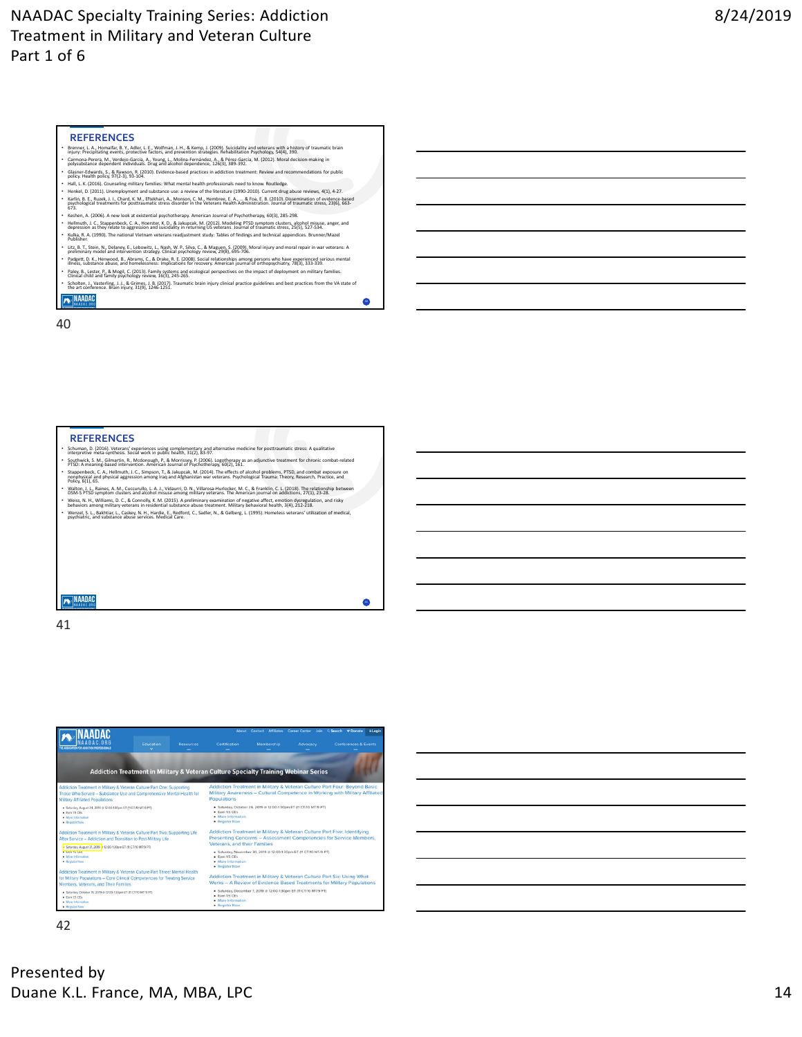### **REFERENCES**

- Brenner, L. A., Homaifar, B. Y., Adler, L. E., Wolfman, J. H., & Kemp, J. (2009). Suicidality and veterans with a history of traumatic brain<br>injury: Precipitating events, protective factors, and prevention strategies. Re
- Carmona‐Perera, M., Verdejo‐García, A., Young, L., Molina‐Fernández, A., & Pérez‐García, M. (2012). Moral decision‐making in<br>polysubstance dependent individuals. Drug and alcohol dependence, 126(3), 389‐392. • Glasner‐Edwards, S., & Rawson, R. (2010). Evidence‐based practices in addiction treatment: Review and recommendations for public policy. Health policy, 97(2‐3), 93‐104.
- 
- Hall, L. K. (2016). Counseling military families: What mental health professionals need to know. Routledge.<br>• Henkel, D. (2011). Unemployment and substance use: a review of the literature (1990-2010). Current drug abuse Kerin, B. E., Ruzek, J. L. Chard, K. M., Eftekhari, A., Monson, C. M., Hembres, E. A., , & Ros, E. B. LOGIO, Dissemination of evidence-based<br>675. Dissemination for positionmatic stress disorder in the Veterans Health Admin
- Keshen, A. (2006). A new look at existential psychotherapy. American Journal of Psychotherapy, 60(3), 285-298.<br>• Hellmuth, J. C., Stappenbeck, C. A., Hoerster, K. D., & Jakupcak, M. (2012). Modeling PTSD symptom clusters
- Kulka, R. A. (1990). The national Vietnam veterans readjustment study: Tables of findings and technical appendices. Brunner/Mazel Publisher. Litz, B. T., Stein, N., Delaney, E., Lebowitz, L., Nash, W. P., Silva, C., & Maguen, S. (2009). Moral injury and moral repair in war veterans: A<br>preliminary model and intervention strategy. Clinical psychology review, 29(8
- Padgett, D. K., Henwood, B., Abrams, C., & Drake, R. E. (2008). Social relationships among persons who have experienced serious mental<br>illness, substance abuse, and homelessness: Implications for recovery. American journal
- Paley, B., Lester, P., & Mogil, C. (2013). Family systems and ecological perspectives on the impact of deployment on military families.<br>Clinical child and family psychology review, 16(3), 245‐265. • Scholten, J., Vasterling, J. J., & Grimes, J. B. (2017). Traumatic brain injury clinical practice guidelines and best practices from the VA state of<br>the art conference. Brain injury, 31(9), 1246‐1251.<br>**[A]** NAMADAD

40

 $\bullet$ 

40

#### **REFERENCES**

- Schuman, D. (2016). Veterans' experiences using complementary and alternative medicine for posttraumatic stress: A qualitative interpretive meta‐synthesis. Social work in public health, 31(2), 83‐97.
- Southwick, S. M., Gilmartin, R., Mcdonough, P., & Morrissey, P. (2006). Logotherapy as an adjunctive treatment for chronic combat‐related PTSD: A meaning‐based intervention. American Journal of Psychotherapy, 60(2), 161.
- Stappenbeck, C. A., Hellmuth, J. C., Simpson, T., & Jakupcak, M. (2014). The effects of alcohol problems, PTSD, and combat exposure on policing and combat exposure on the state of the state of the state of the state of the Walton, J. L., Raines, A. M., Cuccurullo, L. A. J., Vidaurri, D. N., Villarosa-Hurlocker, M. C., & Franklin, C. L. (2018). The relationship between<br>DSM-5 PTSD symptom clusters and alcohol misuse among military veterans. Th
- Weiss, N. H., Williams, D. C., & Connolly, K. M. (2015). A preliminary examination of negative affect, emotion dysregulation, and risky<br>behaviors among military veterans in residential substance abuse treatment. Military b
- Wenzel, S. L., Bakhtiar, L., Caskey, N. H., Hardie, E., Redford, C., Sadler, N., & Gelberg, L. (1995). Homeless veterans' utilization of medical, psychiatric, and substance abuse services. Medical Care.

**A** NAADAC

41



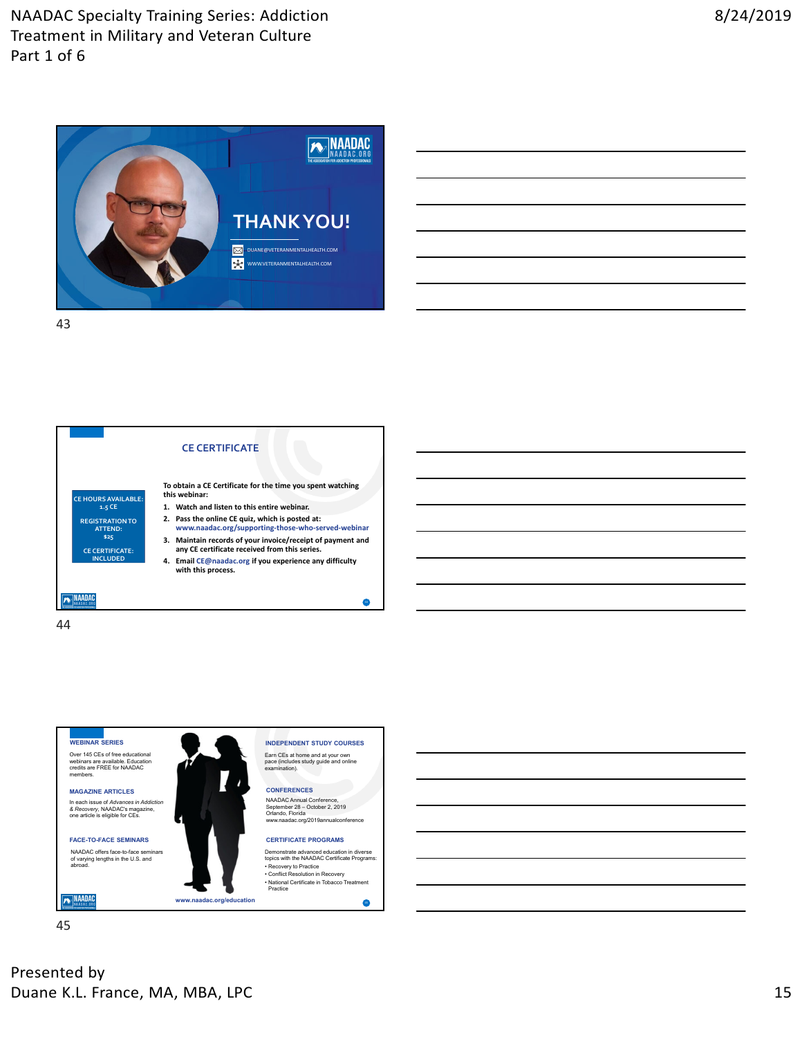



44